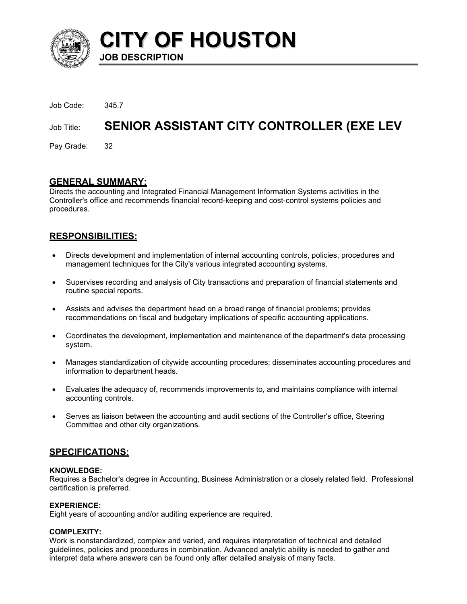

**CITY OF HOUSTON JOB DESCRIPTION** 

| Job Code:     | 345.7                                            |
|---------------|--------------------------------------------------|
| Job Title:    | <b>SENIOR ASSISTANT CITY CONTROLLER (EXE LEV</b> |
| Pay Grade: 32 |                                                  |

# **GENERAL SUMMARY:**

Directs the accounting and Integrated Financial Management Information Systems activities in the Controller's office and recommends financial record-keeping and cost-control systems policies and procedures.

# **RESPONSIBILITIES:**

- Directs development and implementation of internal accounting controls, policies, procedures and management techniques for the City's various integrated accounting systems. •
- Supervises recording and analysis of City transactions and preparation of financial statements and routine special reports.
- Assists and advises the department head on a broad range of financial problems; provides recommendations on fiscal and budgetary implications of specific accounting applications.
- Coordinates the development, implementation and maintenance of the department's data processing system.
- Manages standardization of citywide accounting procedures; disseminates accounting procedures and information to department heads.
- Evaluates the adequacy of, recommends improvements to, and maintains compliance with internal accounting controls.
- Serves as liaison between the accounting and audit sections of the Controller's office, Steering Committee and other city organizations.

# **SPECIFICATIONS:**

#### **KNOWLEDGE:**

Requires a Bachelor's degree in Accounting, Business Administration or a closely related field. Professional certification is preferred.

## **EXPERIENCE:**

Eight years of accounting and/or auditing experience are required.

#### **COMPLEXITY:**

Work is nonstandardized, complex and varied, and requires interpretation of technical and detailed guidelines, policies and procedures in combination. Advanced analytic ability is needed to gather and interpret data where answers can be found only after detailed analysis of many facts.